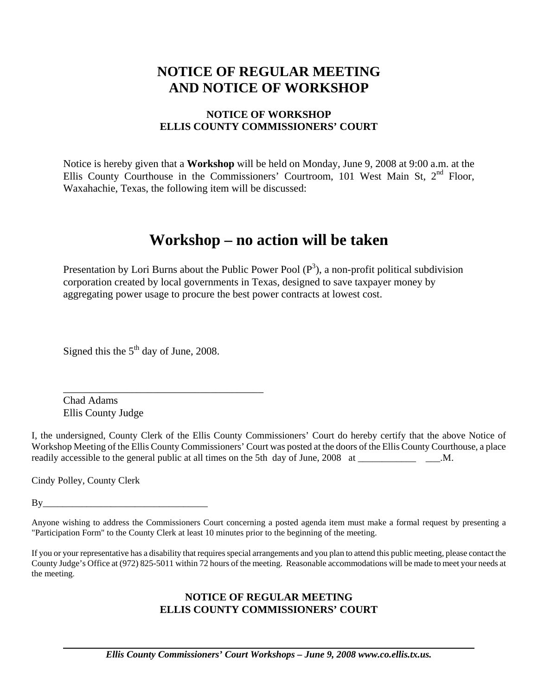# **NOTICE OF REGULAR MEETING AND NOTICE OF WORKSHOP**

## **NOTICE OF WORKSHOP ELLIS COUNTY COMMISSIONERS' COURT**

Notice is hereby given that a **Workshop** will be held on Monday, June 9, 2008 at 9:00 a.m. at the Ellis County Courthouse in the Commissioners' Courtroom, 101 West Main St, 2<sup>nd</sup> Floor, Waxahachie, Texas, the following item will be discussed:

# **Workshop – no action will be taken**

Presentation by Lori Burns about the Public Power Pool  $(P^3)$ , a non-profit political subdivision corporation created by local governments in Texas, designed to save taxpayer money by aggregating power usage to procure the best power contracts at lowest cost.

Signed this the  $5<sup>th</sup>$  day of June, 2008.

\_\_\_\_\_\_\_\_\_\_\_\_\_\_\_\_\_\_\_\_\_\_\_\_\_\_\_\_\_\_\_\_\_\_\_\_\_\_

Chad Adams Ellis County Judge

I, the undersigned, County Clerk of the Ellis County Commissioners' Court do hereby certify that the above Notice of Workshop Meeting of the Ellis County Commissioners' Court was posted at the doors of the Ellis County Courthouse, a place readily accessible to the general public at all times on the 5th day of June, 2008 at \_\_\_\_\_\_\_\_\_\_\_\_\_\_ \_\_\_.M.

Cindy Polley, County Clerk

 $By \_\_$ 

#### **NOTICE OF REGULAR MEETING ELLIS COUNTY COMMISSIONERS' COURT**

Anyone wishing to address the Commissioners Court concerning a posted agenda item must make a formal request by presenting a "Participation Form" to the County Clerk at least 10 minutes prior to the beginning of the meeting.

If you or your representative has a disability that requires special arrangements and you plan to attend this public meeting, please contact the County Judge's Office at (972) 825-5011 within 72 hours of the meeting. Reasonable accommodations will be made to meet your needs at the meeting.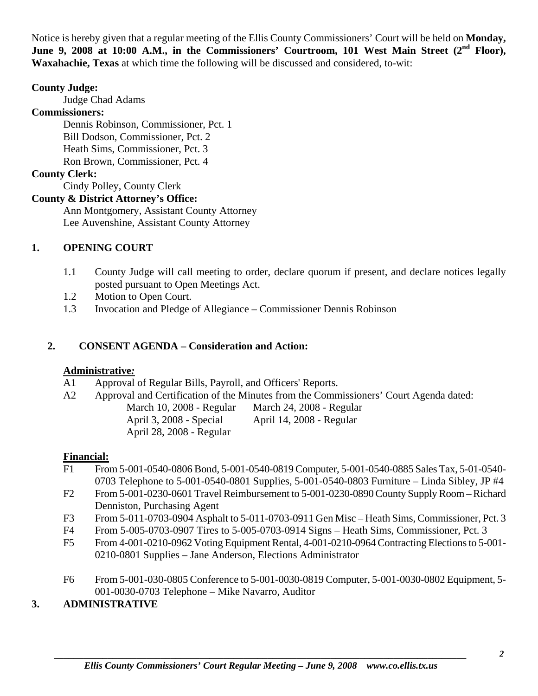Notice is hereby given that a regular meeting of the Ellis County Commissioners' Court will be held on **Monday,**  June 9, 2008 at 10:00 A.M., in the Commissioners' Courtroom, 101 West Main Street (2<sup>nd</sup> Floor), **Waxahachie, Texas** at which time the following will be discussed and considered, to-wit:

## **County Judge:**

Judge Chad Adams

## **Commissioners:**

 Dennis Robinson, Commissioner, Pct. 1 Bill Dodson, Commissioner, Pct. 2 Heath Sims, Commissioner, Pct. 3 Ron Brown, Commissioner, Pct. 4

## **County Clerk:**

Cindy Polley, County Clerk

## **County & District Attorney's Office:**

 Ann Montgomery, Assistant County Attorney Lee Auvenshine, Assistant County Attorney

## **1. OPENING COURT**

- 1.1 County Judge will call meeting to order, declare quorum if present, and declare notices legally posted pursuant to Open Meetings Act.
- 1.2 Motion to Open Court.
- 1.3 Invocation and Pledge of Allegiance Commissioner Dennis Robinson

## **2. CONSENT AGENDA – Consideration and Action:**

## **Administrative***:*

- A1 Approval of Regular Bills, Payroll, and Officers' Reports.
- A2 Approval and Certification of the Minutes from the Commissioners' Court Agenda dated: March 10, 2008 - Regular March 24, 2008 - Regular April 3, 2008 - Special April 14, 2008 - Regular April 28, 2008 - Regular

## **Financial:**

- F1 From 5-001-0540-0806 Bond, 5-001-0540-0819 Computer, 5-001-0540-0885 Sales Tax, 5-01-0540- 0703 Telephone to 5-001-0540-0801 Supplies, 5-001-0540-0803 Furniture – Linda Sibley, JP #4
- F2 From 5-001-0230-0601 Travel Reimbursement to 5-001-0230-0890 County Supply Room Richard Denniston, Purchasing Agent
- F3 From 5-011-0703-0904 Asphalt to 5-011-0703-0911 Gen Misc Heath Sims, Commissioner, Pct. 3
- F4 From 5-005-0703-0907 Tires to 5-005-0703-0914 Signs Heath Sims, Commissioner, Pct. 3
- F5 From 4-001-0210-0962 Voting Equipment Rental, 4-001-0210-0964 Contracting Elections to 5-001- 0210-0801 Supplies – Jane Anderson, Elections Administrator
- F6 From 5-001-030-0805 Conference to 5-001-0030-0819 Computer, 5-001-0030-0802 Equipment, 5- 001-0030-0703 Telephone – Mike Navarro, Auditor

## **3. ADMINISTRATIVE**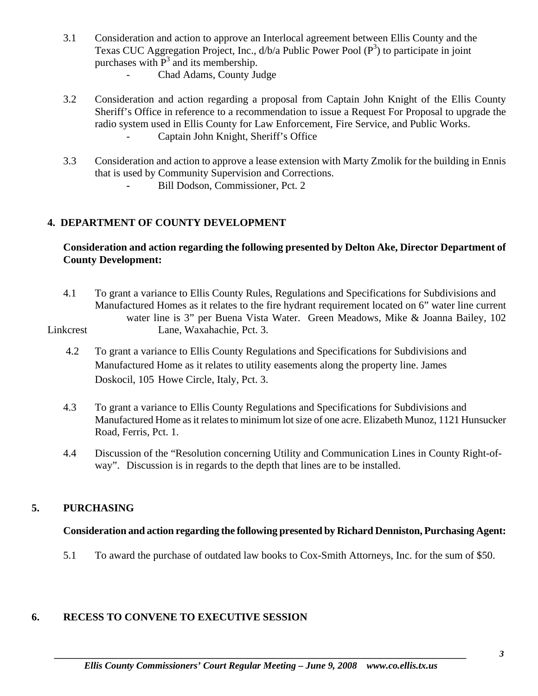- 3.1 Consideration and action to approve an Interlocal agreement between Ellis County and the Texas CUC Aggregation Project, Inc.,  $d/b/a$  Public Power Pool  $(P^3)$  to participate in joint purchases with  $P<sup>3</sup>$  and its membership.
	- Chad Adams, County Judge
	- 3.2 Consideration and action regarding a proposal from Captain John Knight of the Ellis County Sheriff's Office in reference to a recommendation to issue a Request For Proposal to upgrade the radio system used in Ellis County for Law Enforcement, Fire Service, and Public Works. - Captain John Knight, Sheriff's Office
	- 3.3 Consideration and action to approve a lease extension with Marty Zmolik for the building in Ennis that is used by Community Supervision and Corrections.
		- **Bill Dodson, Commissioner, Pct. 2**

## **4. DEPARTMENT OF COUNTY DEVELOPMENT**

## **Consideration and action regarding the following presented by Delton Ake, Director Department of County Development:**

 4.1 To grant a variance to Ellis County Rules, Regulations and Specifications for Subdivisions and Manufactured Homes as it relates to the fire hydrant requirement located on 6" water line current water line is 3" per Buena Vista Water. Green Meadows, Mike & Joanna Bailey, 102 Linkcrest Lane, Waxahachie, Pct. 3.

- 4.2 To grant a variance to Ellis County Regulations and Specifications for Subdivisions and Manufactured Home as it relates to utility easements along the property line. James Doskocil, 105 Howe Circle, Italy, Pct. 3.
- 4.3 To grant a variance to Ellis County Regulations and Specifications for Subdivisions and Manufactured Home as it relates to minimum lot size of one acre. Elizabeth Munoz, 1121 Hunsucker Road, Ferris, Pct. 1.
- 4.4 Discussion of the "Resolution concerning Utility and Communication Lines in County Right-of way". Discussion is in regards to the depth that lines are to be installed.

## **5. PURCHASING**

## **Consideration and action regarding the following presented by Richard Denniston, Purchasing Agent:**

5.1 To award the purchase of outdated law books to Cox-Smith Attorneys, Inc. for the sum of \$50.

## **6. RECESS TO CONVENE TO EXECUTIVE SESSION**